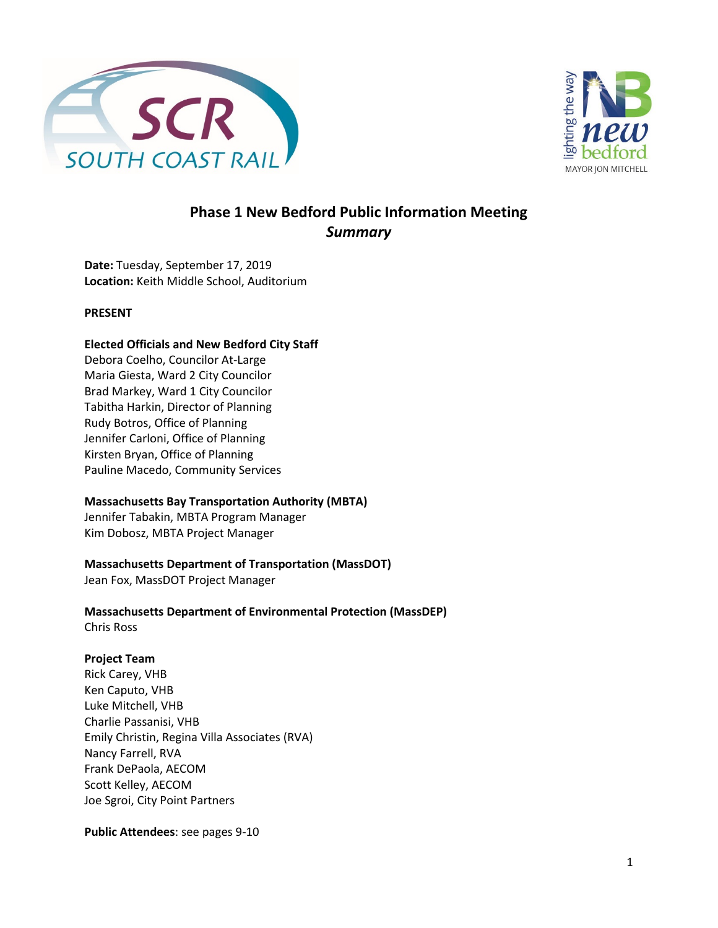



### **Phase 1 New Bedford Public Information Meeting**  *Summary*

**Date:** Tuesday, September 17, 2019 **Location:** Keith Middle School, Auditorium

#### **PRESENT**

#### **Elected Officials and New Bedford City Staff**

Debora Coelho, Councilor At-Large Maria Giesta, Ward 2 City Councilor Brad Markey, Ward 1 City Councilor Tabitha Harkin, Director of Planning Rudy Botros, Office of Planning Jennifer Carloni, Office of Planning Kirsten Bryan, Office of Planning Pauline Macedo, Community Services

#### **Massachusetts Bay Transportation Authority (MBTA)**

Jennifer Tabakin, MBTA Program Manager Kim Dobosz, MBTA Project Manager

#### **Massachusetts Department of Transportation (MassDOT)**

Jean Fox, MassDOT Project Manager

**Massachusetts Department of Environmental Protection (MassDEP)** Chris Ross

#### **Project Team**

Rick Carey, VHB Ken Caputo, VHB Luke Mitchell, VHB Charlie Passanisi, VHB Emily Christin, Regina Villa Associates (RVA) Nancy Farrell, RVA Frank DePaola, AECOM Scott Kelley, AECOM Joe Sgroi, City Point Partners

**Public Attendees**: see pages 9-10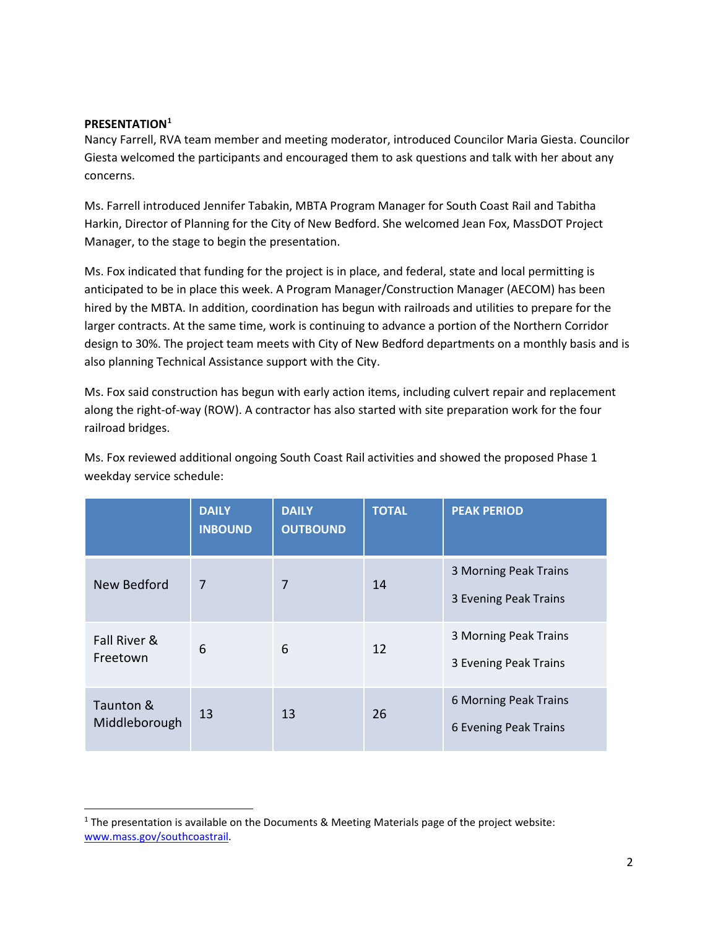#### **PRESENTATION[1](#page-1-0)**

Nancy Farrell, RVA team member and meeting moderator, introduced Councilor Maria Giesta. Councilor Giesta welcomed the participants and encouraged them to ask questions and talk with her about any concerns.

Ms. Farrell introduced Jennifer Tabakin, MBTA Program Manager for South Coast Rail and Tabitha Harkin, Director of Planning for the City of New Bedford. She welcomed Jean Fox, MassDOT Project Manager, to the stage to begin the presentation.

Ms. Fox indicated that funding for the project is in place, and federal, state and local permitting is anticipated to be in place this week. A Program Manager/Construction Manager (AECOM) has been hired by the MBTA. In addition, coordination has begun with railroads and utilities to prepare for the larger contracts. At the same time, work is continuing to advance a portion of the Northern Corridor design to 30%. The project team meets with City of New Bedford departments on a monthly basis and is also planning Technical Assistance support with the City.

Ms. Fox said construction has begun with early action items, including culvert repair and replacement along the right-of-way (ROW). A contractor has also started with site preparation work for the four railroad bridges.

|                            | <b>DAILY</b><br><b>INBOUND</b> | <b>DAILY</b><br><b>OUTBOUND</b> | <b>TOTAL</b> | <b>PEAK PERIOD</b>                                    |
|----------------------------|--------------------------------|---------------------------------|--------------|-------------------------------------------------------|
| New Bedford                | 7                              | 7                               | 14           | 3 Morning Peak Trains<br>3 Evening Peak Trains        |
| Fall River &<br>Freetown   | 6                              | 6                               | 12           | 3 Morning Peak Trains<br>3 Evening Peak Trains        |
| Taunton &<br>Middleborough | 13                             | 13                              | 26           | 6 Morning Peak Trains<br><b>6 Evening Peak Trains</b> |

Ms. Fox reviewed additional ongoing South Coast Rail activities and showed the proposed Phase 1 weekday service schedule:

<span id="page-1-0"></span><sup>1</sup> The presentation is available on the Documents & Meeting Materials page of the project website: [www.mass.gov/southcoastrail.](http://www.mass.gov/southcoastrail)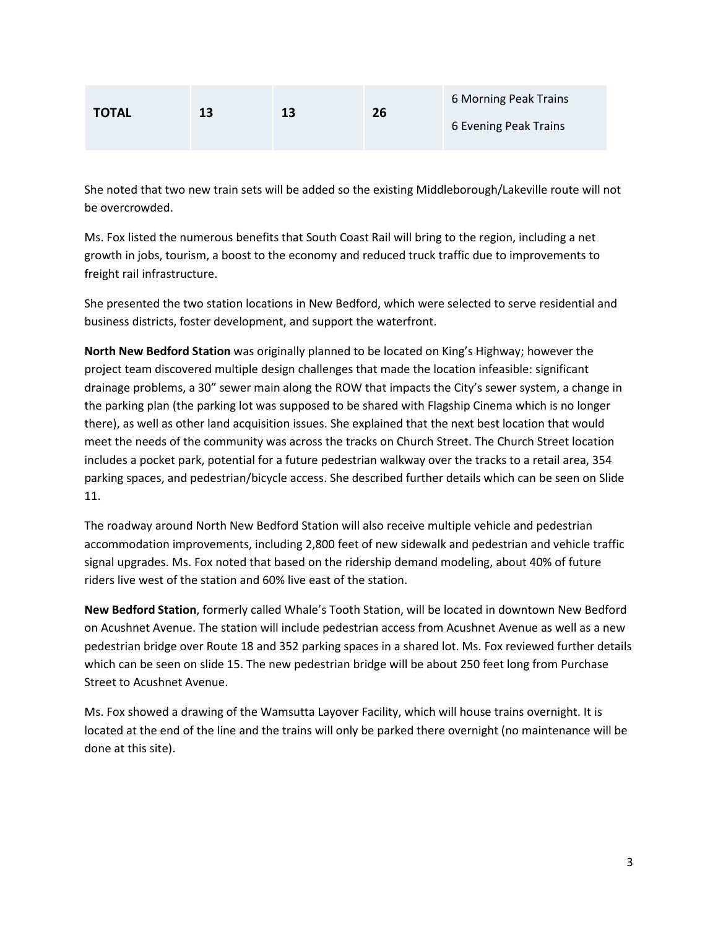| <b>TOTAL</b> | 13 | 13 | 26 | 6 Morning Peak Trains |
|--------------|----|----|----|-----------------------|
|              |    |    |    | 6 Evening Peak Trains |

She noted that two new train sets will be added so the existing Middleborough/Lakeville route will not be overcrowded.

Ms. Fox listed the numerous benefits that South Coast Rail will bring to the region, including a net growth in jobs, tourism, a boost to the economy and reduced truck traffic due to improvements to freight rail infrastructure.

She presented the two station locations in New Bedford, which were selected to serve residential and business districts, foster development, and support the waterfront.

**North New Bedford Station** was originally planned to be located on King's Highway; however the project team discovered multiple design challenges that made the location infeasible: significant drainage problems, a 30" sewer main along the ROW that impacts the City's sewer system, a change in the parking plan (the parking lot was supposed to be shared with Flagship Cinema which is no longer there), as well as other land acquisition issues. She explained that the next best location that would meet the needs of the community was across the tracks on Church Street. The Church Street location includes a pocket park, potential for a future pedestrian walkway over the tracks to a retail area, 354 parking spaces, and pedestrian/bicycle access. She described further details which can be seen on Slide 11.

The roadway around North New Bedford Station will also receive multiple vehicle and pedestrian accommodation improvements, including 2,800 feet of new sidewalk and pedestrian and vehicle traffic signal upgrades. Ms. Fox noted that based on the ridership demand modeling, about 40% of future riders live west of the station and 60% live east of the station.

**New Bedford Station**, formerly called Whale's Tooth Station, will be located in downtown New Bedford on Acushnet Avenue. The station will include pedestrian access from Acushnet Avenue as well as a new pedestrian bridge over Route 18 and 352 parking spaces in a shared lot. Ms. Fox reviewed further details which can be seen on slide 15. The new pedestrian bridge will be about 250 feet long from Purchase Street to Acushnet Avenue.

Ms. Fox showed a drawing of the Wamsutta Layover Facility, which will house trains overnight. It is located at the end of the line and the trains will only be parked there overnight (no maintenance will be done at this site).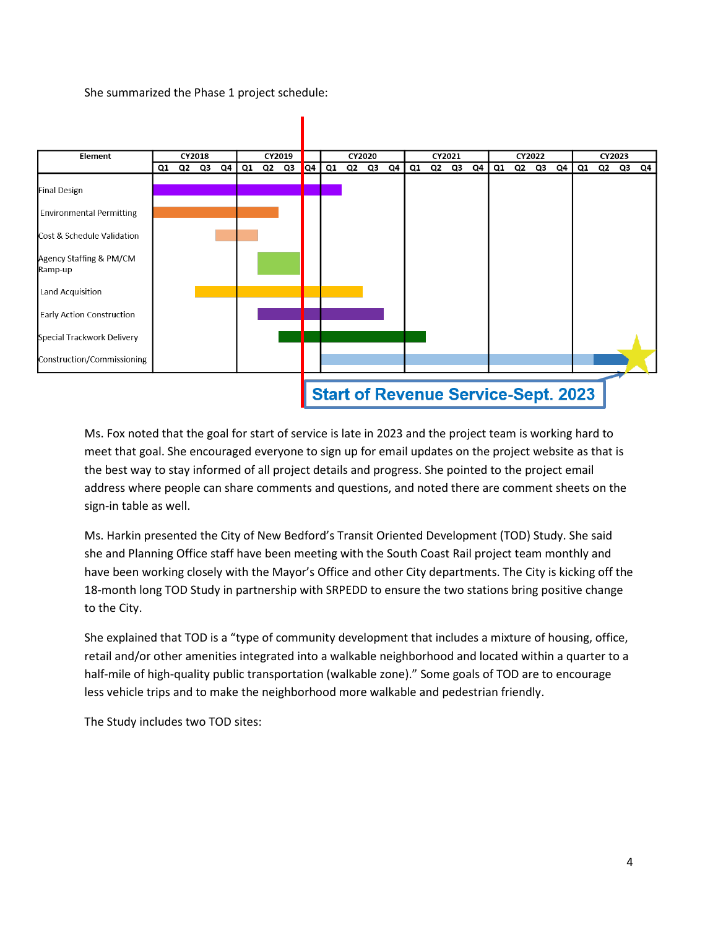She summarized the Phase 1 project schedule:



Ms. Fox noted that the goal for start of service is late in 2023 and the project team is working hard to meet that goal. She encouraged everyone to sign up for email updates on the project website as that is the best way to stay informed of all project details and progress. She pointed to the project email address where people can share comments and questions, and noted there are comment sheets on the sign-in table as well.

Ms. Harkin presented the City of New Bedford's Transit Oriented Development (TOD) Study. She said she and Planning Office staff have been meeting with the South Coast Rail project team monthly and have been working closely with the Mayor's Office and other City departments. The City is kicking off the 18-month long TOD Study in partnership with SRPEDD to ensure the two stations bring positive change to the City.

She explained that TOD is a "type of community development that includes a mixture of housing, office, retail and/or other amenities integrated into a walkable neighborhood and located within a quarter to a half-mile of high-quality public transportation (walkable zone)." Some goals of TOD are to encourage less vehicle trips and to make the neighborhood more walkable and pedestrian friendly.

The Study includes two TOD sites: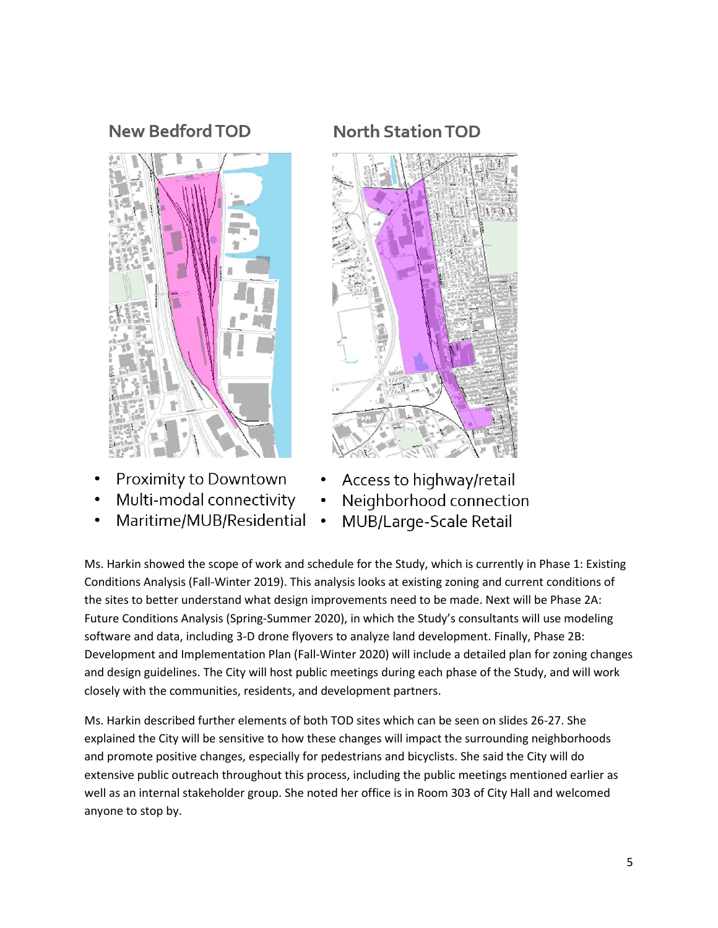## **New Bedford TOD**



- Proximity to Downtown
- Multi-modal connectivity
- Maritime/MUB/Residential

# **North Station TOD**



- Access to highway/retail
- Neighborhood connection  $\bullet$ 
	- MUB/Large-Scale Retail

Ms. Harkin showed the scope of work and schedule for the Study, which is currently in Phase 1: Existing Conditions Analysis (Fall-Winter 2019). This analysis looks at existing zoning and current conditions of the sites to better understand what design improvements need to be made. Next will be Phase 2A: Future Conditions Analysis (Spring-Summer 2020), in which the Study's consultants will use modeling software and data, including 3-D drone flyovers to analyze land development. Finally, Phase 2B: Development and Implementation Plan (Fall-Winter 2020) will include a detailed plan for zoning changes and design guidelines. The City will host public meetings during each phase of the Study, and will work closely with the communities, residents, and development partners.

 $\bullet$ 

Ms. Harkin described further elements of both TOD sites which can be seen on slides 26-27. She explained the City will be sensitive to how these changes will impact the surrounding neighborhoods and promote positive changes, especially for pedestrians and bicyclists. She said the City will do extensive public outreach throughout this process, including the public meetings mentioned earlier as well as an internal stakeholder group. She noted her office is in Room 303 of City Hall and welcomed anyone to stop by.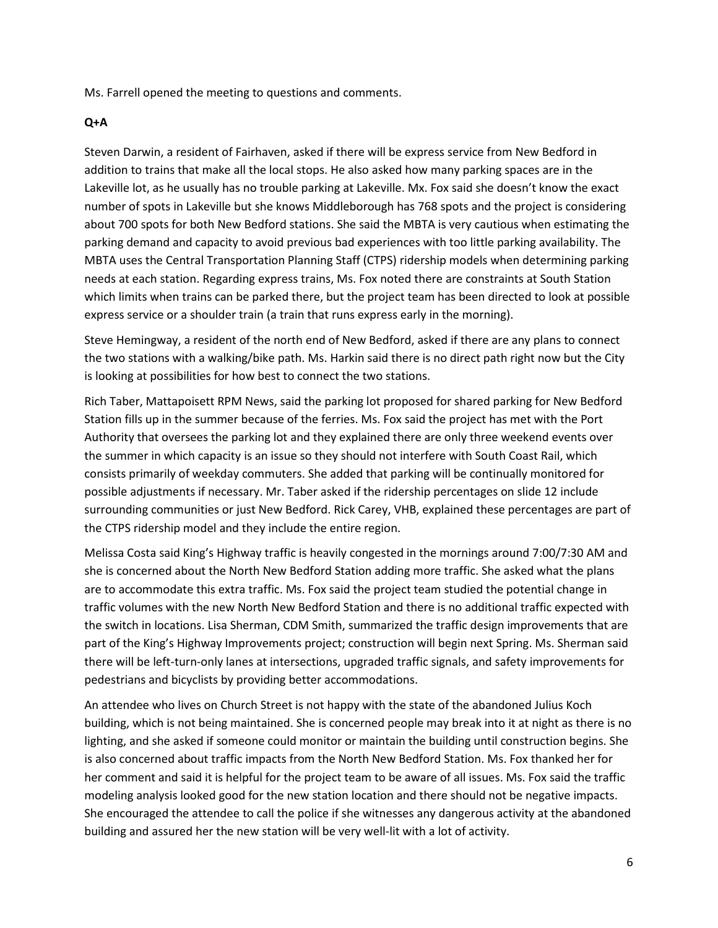Ms. Farrell opened the meeting to questions and comments.

#### **Q+A**

Steven Darwin, a resident of Fairhaven, asked if there will be express service from New Bedford in addition to trains that make all the local stops. He also asked how many parking spaces are in the Lakeville lot, as he usually has no trouble parking at Lakeville. Mx. Fox said she doesn't know the exact number of spots in Lakeville but she knows Middleborough has 768 spots and the project is considering about 700 spots for both New Bedford stations. She said the MBTA is very cautious when estimating the parking demand and capacity to avoid previous bad experiences with too little parking availability. The MBTA uses the Central Transportation Planning Staff (CTPS) ridership models when determining parking needs at each station. Regarding express trains, Ms. Fox noted there are constraints at South Station which limits when trains can be parked there, but the project team has been directed to look at possible express service or a shoulder train (a train that runs express early in the morning).

Steve Hemingway, a resident of the north end of New Bedford, asked if there are any plans to connect the two stations with a walking/bike path. Ms. Harkin said there is no direct path right now but the City is looking at possibilities for how best to connect the two stations.

Rich Taber, Mattapoisett RPM News, said the parking lot proposed for shared parking for New Bedford Station fills up in the summer because of the ferries. Ms. Fox said the project has met with the Port Authority that oversees the parking lot and they explained there are only three weekend events over the summer in which capacity is an issue so they should not interfere with South Coast Rail, which consists primarily of weekday commuters. She added that parking will be continually monitored for possible adjustments if necessary. Mr. Taber asked if the ridership percentages on slide 12 include surrounding communities or just New Bedford. Rick Carey, VHB, explained these percentages are part of the CTPS ridership model and they include the entire region.

Melissa Costa said King's Highway traffic is heavily congested in the mornings around 7:00/7:30 AM and she is concerned about the North New Bedford Station adding more traffic. She asked what the plans are to accommodate this extra traffic. Ms. Fox said the project team studied the potential change in traffic volumes with the new North New Bedford Station and there is no additional traffic expected with the switch in locations. Lisa Sherman, CDM Smith, summarized the traffic design improvements that are part of the King's Highway Improvements project; construction will begin next Spring. Ms. Sherman said there will be left-turn-only lanes at intersections, upgraded traffic signals, and safety improvements for pedestrians and bicyclists by providing better accommodations.

An attendee who lives on Church Street is not happy with the state of the abandoned Julius Koch building, which is not being maintained. She is concerned people may break into it at night as there is no lighting, and she asked if someone could monitor or maintain the building until construction begins. She is also concerned about traffic impacts from the North New Bedford Station. Ms. Fox thanked her for her comment and said it is helpful for the project team to be aware of all issues. Ms. Fox said the traffic modeling analysis looked good for the new station location and there should not be negative impacts. She encouraged the attendee to call the police if she witnesses any dangerous activity at the abandoned building and assured her the new station will be very well-lit with a lot of activity.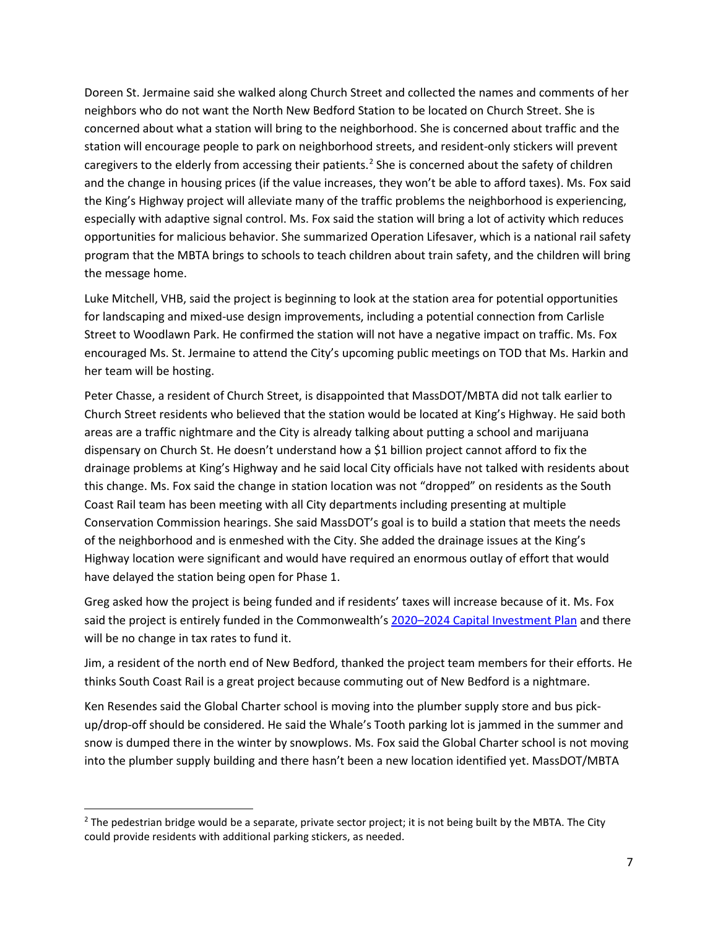Doreen St. Jermaine said she walked along Church Street and collected the names and comments of her neighbors who do not want the North New Bedford Station to be located on Church Street. She is concerned about what a station will bring to the neighborhood. She is concerned about traffic and the station will encourage people to park on neighborhood streets, and resident-only stickers will prevent caregivers to the elderly from accessing their patients.<sup>[2](#page-6-0)</sup> She is concerned about the safety of children and the change in housing prices (if the value increases, they won't be able to afford taxes). Ms. Fox said the King's Highway project will alleviate many of the traffic problems the neighborhood is experiencing, especially with adaptive signal control. Ms. Fox said the station will bring a lot of activity which reduces opportunities for malicious behavior. She summarized Operation Lifesaver, which is a national rail safety program that the MBTA brings to schools to teach children about train safety, and the children will bring the message home.

Luke Mitchell, VHB, said the project is beginning to look at the station area for potential opportunities for landscaping and mixed-use design improvements, including a potential connection from Carlisle Street to Woodlawn Park. He confirmed the station will not have a negative impact on traffic. Ms. Fox encouraged Ms. St. Jermaine to attend the City's upcoming public meetings on TOD that Ms. Harkin and her team will be hosting.

Peter Chasse, a resident of Church Street, is disappointed that MassDOT/MBTA did not talk earlier to Church Street residents who believed that the station would be located at King's Highway. He said both areas are a traffic nightmare and the City is already talking about putting a school and marijuana dispensary on Church St. He doesn't understand how a \$1 billion project cannot afford to fix the drainage problems at King's Highway and he said local City officials have not talked with residents about this change. Ms. Fox said the change in station location was not "dropped" on residents as the South Coast Rail team has been meeting with all City departments including presenting at multiple Conservation Commission hearings. She said MassDOT's goal is to build a station that meets the needs of the neighborhood and is enmeshed with the City. She added the drainage issues at the King's Highway location were significant and would have required an enormous outlay of effort that would have delayed the station being open for Phase 1.

Greg asked how the project is being funded and if residents' taxes will increase because of it. Ms. Fox said the project is entirely funded in the Commonwealth's [2020–2024 Capital Investment Plan](https://www.mass.gov/service-details/capital-investment-plan-cip) and there will be no change in tax rates to fund it.

Jim, a resident of the north end of New Bedford, thanked the project team members for their efforts. He thinks South Coast Rail is a great project because commuting out of New Bedford is a nightmare.

Ken Resendes said the Global Charter school is moving into the plumber supply store and bus pickup/drop-off should be considered. He said the Whale's Tooth parking lot is jammed in the summer and snow is dumped there in the winter by snowplows. Ms. Fox said the Global Charter school is not moving into the plumber supply building and there hasn't been a new location identified yet. MassDOT/MBTA

<span id="page-6-0"></span> $<sup>2</sup>$  The pedestrian bridge would be a separate, private sector project; it is not being built by the MBTA. The City</sup> could provide residents with additional parking stickers, as needed.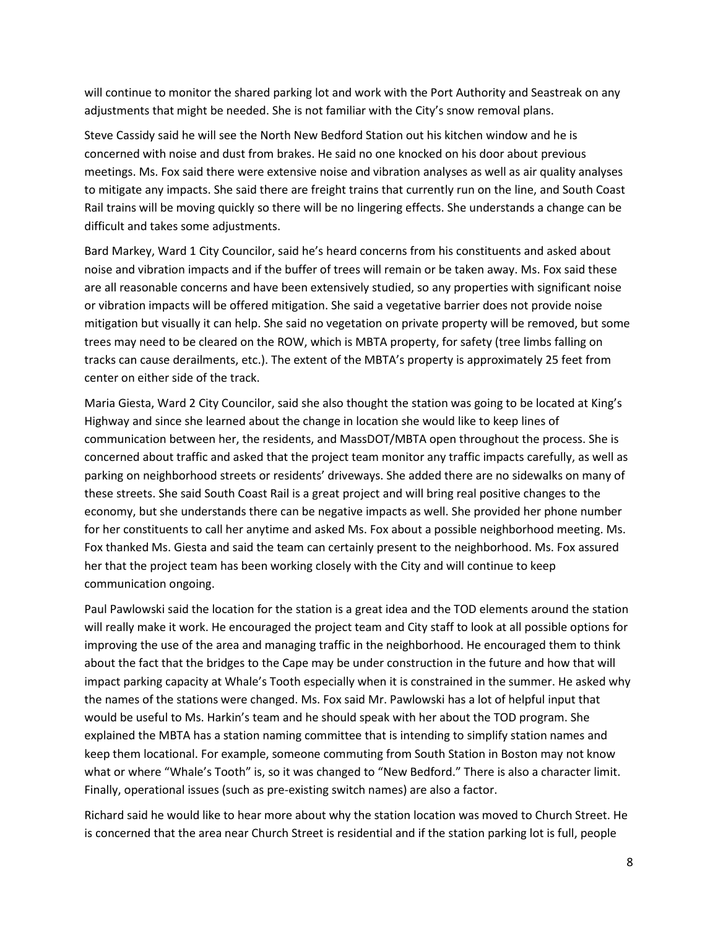will continue to monitor the shared parking lot and work with the Port Authority and Seastreak on any adjustments that might be needed. She is not familiar with the City's snow removal plans.

Steve Cassidy said he will see the North New Bedford Station out his kitchen window and he is concerned with noise and dust from brakes. He said no one knocked on his door about previous meetings. Ms. Fox said there were extensive noise and vibration analyses as well as air quality analyses to mitigate any impacts. She said there are freight trains that currently run on the line, and South Coast Rail trains will be moving quickly so there will be no lingering effects. She understands a change can be difficult and takes some adjustments.

Bard Markey, Ward 1 City Councilor, said he's heard concerns from his constituents and asked about noise and vibration impacts and if the buffer of trees will remain or be taken away. Ms. Fox said these are all reasonable concerns and have been extensively studied, so any properties with significant noise or vibration impacts will be offered mitigation. She said a vegetative barrier does not provide noise mitigation but visually it can help. She said no vegetation on private property will be removed, but some trees may need to be cleared on the ROW, which is MBTA property, for safety (tree limbs falling on tracks can cause derailments, etc.). The extent of the MBTA's property is approximately 25 feet from center on either side of the track.

Maria Giesta, Ward 2 City Councilor, said she also thought the station was going to be located at King's Highway and since she learned about the change in location she would like to keep lines of communication between her, the residents, and MassDOT/MBTA open throughout the process. She is concerned about traffic and asked that the project team monitor any traffic impacts carefully, as well as parking on neighborhood streets or residents' driveways. She added there are no sidewalks on many of these streets. She said South Coast Rail is a great project and will bring real positive changes to the economy, but she understands there can be negative impacts as well. She provided her phone number for her constituents to call her anytime and asked Ms. Fox about a possible neighborhood meeting. Ms. Fox thanked Ms. Giesta and said the team can certainly present to the neighborhood. Ms. Fox assured her that the project team has been working closely with the City and will continue to keep communication ongoing.

Paul Pawlowski said the location for the station is a great idea and the TOD elements around the station will really make it work. He encouraged the project team and City staff to look at all possible options for improving the use of the area and managing traffic in the neighborhood. He encouraged them to think about the fact that the bridges to the Cape may be under construction in the future and how that will impact parking capacity at Whale's Tooth especially when it is constrained in the summer. He asked why the names of the stations were changed. Ms. Fox said Mr. Pawlowski has a lot of helpful input that would be useful to Ms. Harkin's team and he should speak with her about the TOD program. She explained the MBTA has a station naming committee that is intending to simplify station names and keep them locational. For example, someone commuting from South Station in Boston may not know what or where "Whale's Tooth" is, so it was changed to "New Bedford." There is also a character limit. Finally, operational issues (such as pre-existing switch names) are also a factor.

Richard said he would like to hear more about why the station location was moved to Church Street. He is concerned that the area near Church Street is residential and if the station parking lot is full, people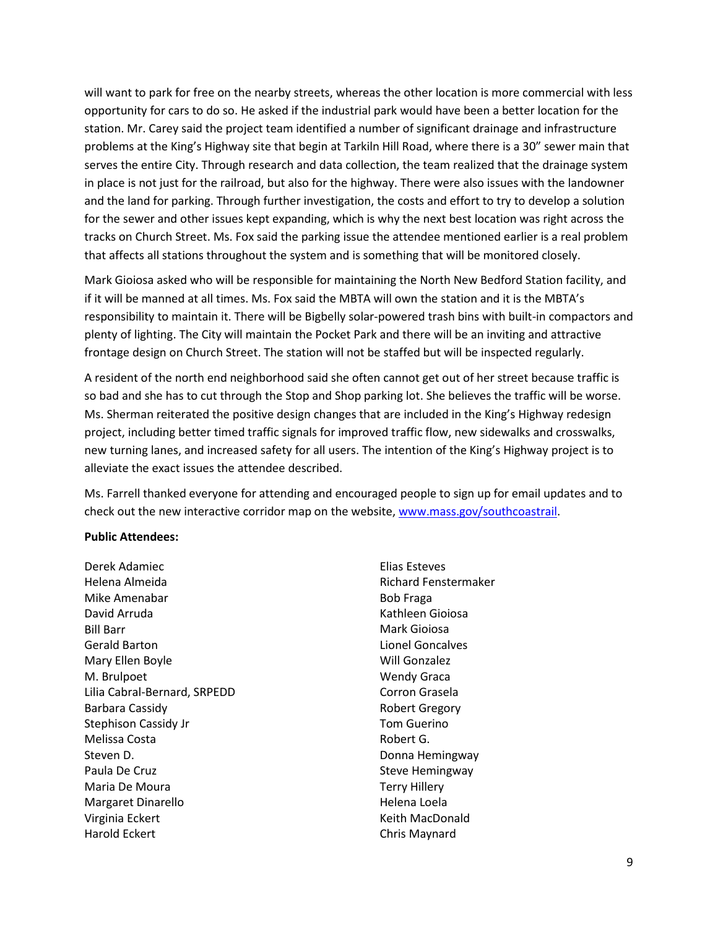will want to park for free on the nearby streets, whereas the other location is more commercial with less opportunity for cars to do so. He asked if the industrial park would have been a better location for the station. Mr. Carey said the project team identified a number of significant drainage and infrastructure problems at the King's Highway site that begin at Tarkiln Hill Road, where there is a 30" sewer main that serves the entire City. Through research and data collection, the team realized that the drainage system in place is not just for the railroad, but also for the highway. There were also issues with the landowner and the land for parking. Through further investigation, the costs and effort to try to develop a solution for the sewer and other issues kept expanding, which is why the next best location was right across the tracks on Church Street. Ms. Fox said the parking issue the attendee mentioned earlier is a real problem that affects all stations throughout the system and is something that will be monitored closely.

Mark Gioiosa asked who will be responsible for maintaining the North New Bedford Station facility, and if it will be manned at all times. Ms. Fox said the MBTA will own the station and it is the MBTA's responsibility to maintain it. There will be Bigbelly solar-powered trash bins with built-in compactors and plenty of lighting. The City will maintain the Pocket Park and there will be an inviting and attractive frontage design on Church Street. The station will not be staffed but will be inspected regularly.

A resident of the north end neighborhood said she often cannot get out of her street because traffic is so bad and she has to cut through the Stop and Shop parking lot. She believes the traffic will be worse. Ms. Sherman reiterated the positive design changes that are included in the King's Highway redesign project, including better timed traffic signals for improved traffic flow, new sidewalks and crosswalks, new turning lanes, and increased safety for all users. The intention of the King's Highway project is to alleviate the exact issues the attendee described.

Ms. Farrell thanked everyone for attending and encouraged people to sign up for email updates and to check out the new interactive corridor map on the website, [www.mass.gov/southcoastrail.](http://www.mass.gov/southcoastrail)

#### **Public Attendees:**

Derek Adamiec Helena Almeida Mike Amenabar David Arruda Bill Barr Gerald Barton Mary Ellen Boyle M. Brulpoet Lilia Cabral-Bernard, SRPEDD Barbara Cassidy Stephison Cassidy Jr Melissa Costa Steven D. Paula De Cruz Maria De Moura Margaret Dinarello Virginia Eckert Harold Eckert

Elias Esteves Richard Fenstermaker Bob Fraga Kathleen Gioiosa Mark Gioiosa Lionel Goncalves Will Gonzalez Wendy Graca Corron Grasela Robert Gregory Tom Guerino Robert G. Donna Hemingway Steve Hemingway Terry Hillery Helena Loela Keith MacDonald Chris Maynard